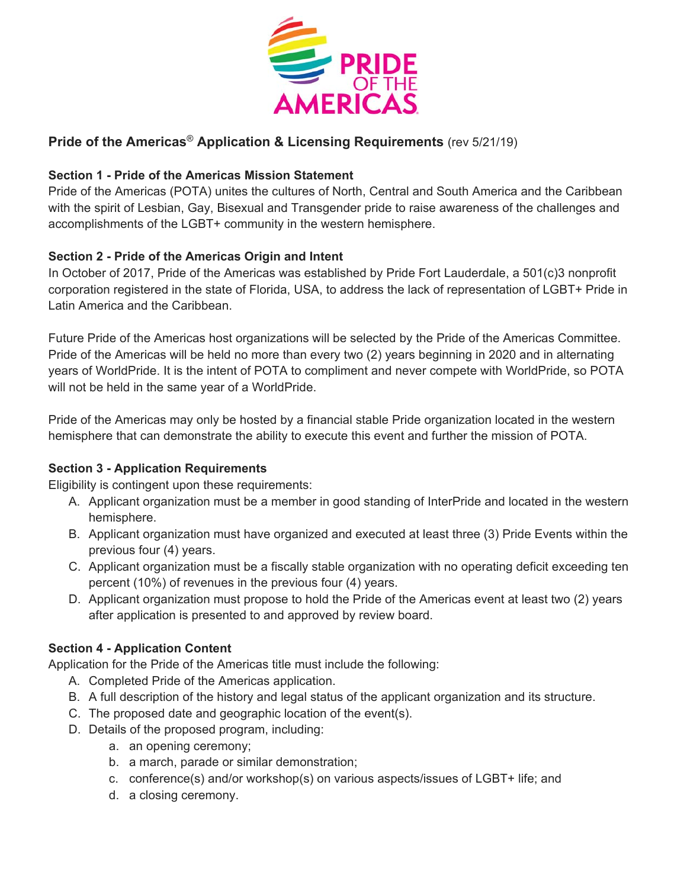

## **Pride of the Americas**® **Application & Licensing Requirements** (rev 5/21/19)

## **Section 1 - Pride of the Americas Mission Statement**

Pride of the Americas (POTA) unites the cultures of North, Central and South America and the Caribbean with the spirit of Lesbian, Gay, Bisexual and Transgender pride to raise awareness of the challenges and accomplishments of the LGBT+ community in the western hemisphere.

## **Section 2 - Pride of the Americas Origin and Intent**

In October of 2017, Pride of the Americas was established by Pride Fort Lauderdale, a 501(c)3 nonprofit corporation registered in the state of Florida, USA, to address the lack of representation of LGBT+ Pride in Latin America and the Caribbean.

Future Pride of the Americas host organizations will be selected by the Pride of the Americas Committee. Pride of the Americas will be held no more than every two (2) years beginning in 2020 and in alternating years of WorldPride. It is the intent of POTA to compliment and never compete with WorldPride, so POTA will not be held in the same year of a WorldPride.

Pride of the Americas may only be hosted by a financial stable Pride organization located in the western hemisphere that can demonstrate the ability to execute this event and further the mission of POTA.

#### **Section 3 - Application Requirements**

Eligibility is contingent upon these requirements:

- A. Applicant organization must be a member in good standing of InterPride and located in the western hemisphere.
- B. Applicant organization must have organized and executed at least three (3) Pride Events within the previous four (4) years.
- C. Applicant organization must be a fiscally stable organization with no operating deficit exceeding ten percent (10%) of revenues in the previous four (4) years.
- D. Applicant organization must propose to hold the Pride of the Americas event at least two (2) years after application is presented to and approved by review board.

#### **Section 4 - Application Content**

Application for the Pride of the Americas title must include the following:

- A. Completed Pride of the Americas application.
- B. A full description of the history and legal status of the applicant organization and its structure.
- C. The proposed date and geographic location of the event(s).
- D. Details of the proposed program, including:
	- a. an opening ceremony;
	- b. a march, parade or similar demonstration;
	- c. conference(s) and/or workshop(s) on various aspects/issues of LGBT+ life; and
	- d. a closing ceremony.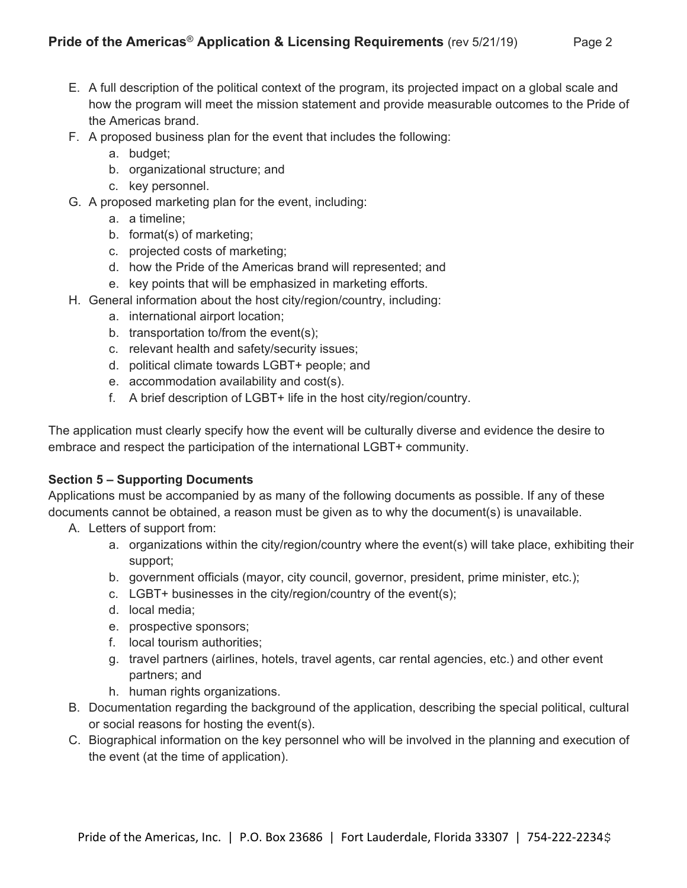- E. A full description of the political context of the program, its projected impact on a global scale and how the program will meet the mission statement and provide measurable outcomes to the Pride of the Americas brand.
- F. A proposed business plan for the event that includes the following:
	- a. budget;
	- b. organizational structure; and
	- c. key personnel.
- G. A proposed marketing plan for the event, including:
	- a. a timeline;
	- b. format(s) of marketing;
	- c. projected costs of marketing;
	- d. how the Pride of the Americas brand will represented; and
	- e. key points that will be emphasized in marketing efforts.
- H. General information about the host city/region/country, including:
	- a. international airport location;
	- b. transportation to/from the event(s);
	- c. relevant health and safety/security issues;
	- d. political climate towards LGBT+ people; and
	- e. accommodation availability and cost(s).
	- f. A brief description of LGBT+ life in the host city/region/country.

The application must clearly specify how the event will be culturally diverse and evidence the desire to embrace and respect the participation of the international LGBT+ community.

# **Section 5 – Supporting Documents**

Applications must be accompanied by as many of the following documents as possible. If any of these documents cannot be obtained, a reason must be given as to why the document(s) is unavailable.

- A. Letters of support from:
	- a. organizations within the city/region/country where the event(s) will take place, exhibiting their support;
	- b. government officials (mayor, city council, governor, president, prime minister, etc.);
	- c. LGBT+ businesses in the city/region/country of the event(s);
	- d. local media;
	- e. prospective sponsors;
	- f. local tourism authorities;
	- g. travel partners (airlines, hotels, travel agents, car rental agencies, etc.) and other event partners; and
	- h. human rights organizations.
- B. Documentation regarding the background of the application, describing the special political, cultural or social reasons for hosting the event(s).
- C. Biographical information on the key personnel who will be involved in the planning and execution of the event (at the time of application).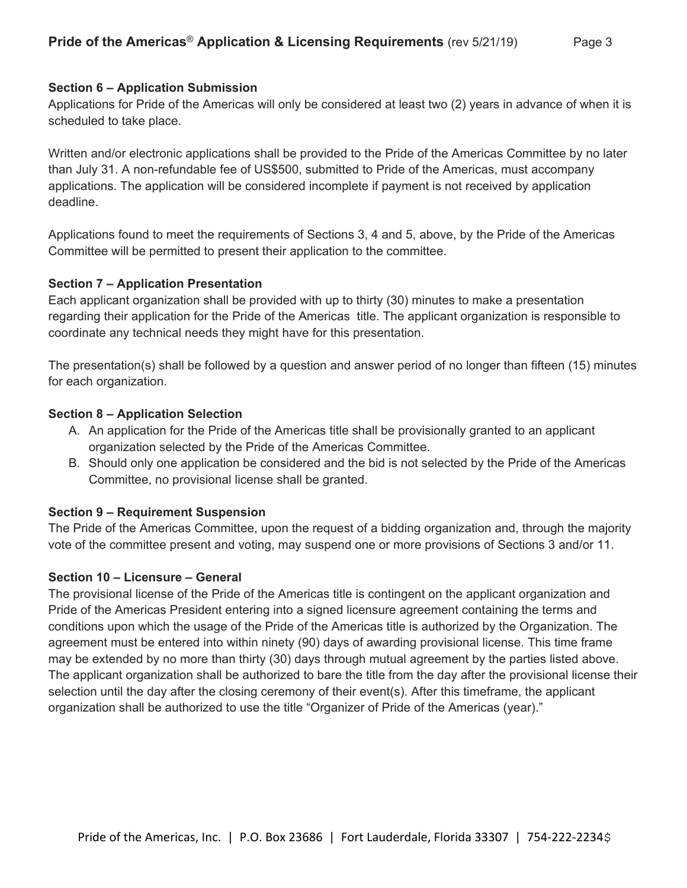#### **Section 6 – Application Submission**

Applications for Pride of the Americas will only be considered at least two (2) years in advance of when it is scheduled to take place.

Written and/or electronic applications shall be provided to the Pride of the Americas Committee by no later than July 31. A non-refundable fee of US\$500, submitted to Pride of the Americas, must accompany applications. The application will be considered incomplete if payment is not received by application deadline.

Applications found to meet the requirements of Sections 3, 4 and 5, above, by the Pride of the Americas Committee will be permitted to present their application to the committee.

#### **Section 7 – Application Presentation**

Each applicant organization shall be provided with up to thirty (30) minutes to make a presentation regarding their application for the Pride of the Americas title. The applicant organization is responsible to coordinate any technical needs they might have for this presentation.

The presentation(s) shall be followed by a question and answer period of no longer than fifteen (15) minutes for each organization.

#### **Section 8 – Application Selection**

- A. An application for the Pride of the Americas title shall be provisionally granted to an applicant organization selected by the Pride of the Americas Committee.
- B. Should only one application be considered and the bid is not selected by the Pride of the Americas Committee, no provisional license shall be granted.

#### **Section 9 – Requirement Suspension**

The Pride of the Americas Committee, upon the request of a bidding organization and, through the majority vote of the committee present and voting, may suspend one or more provisions of Sections 3 and/or 11.

#### **Section 10 – Licensure – General**

The provisional license of the Pride of the Americas title is contingent on the applicant organization and Pride of the Americas President entering into a signed licensure agreement containing the terms and conditions upon which the usage of the Pride of the Americas title is authorized by the Organization. The agreement must be entered into within ninety (90) days of awarding provisional license. This time frame may be extended by no more than thirty (30) days through mutual agreement by the parties listed above. The applicant organization shall be authorized to bare the title from the day after the provisional license their selection until the day after the closing ceremony of their event(s). After this timeframe, the applicant organization shall be authorized to use the title "Organizer of Pride of the Americas (year)."